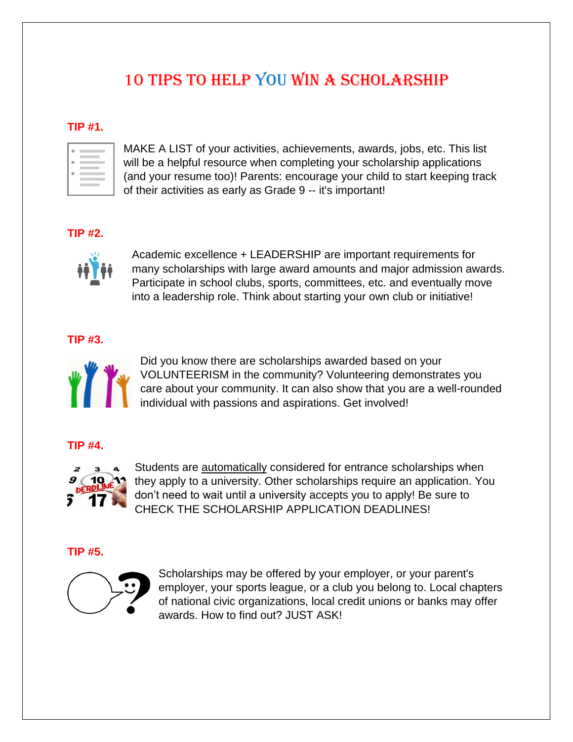# 10 TIPS to help you win a SCHOLARSHIP

## **TIP #1.**

MAKE A LIST of your activities, achievements, awards, jobs, etc. This list will be a helpful resource when completing your scholarship applications (and your resume too)! Parents: encourage your child to start keeping track of their activities as early as Grade 9 -- it's important!

# **TIP #2.**



Academic excellence + LEADERSHIP are important requirements for many scholarships with large award amounts and major admission awards. Participate in school clubs, sports, committees, etc. and eventually move into a leadership role. Think about starting your own club or initiative!

## **TIP #3.**



Did you know there are scholarships awarded based on your VOLUNTEERISM in the community? Volunteering demonstrates you care about your community. It can also show that you are a well-rounded individual with passions and aspirations. Get involved!

#### **TIP #4.**



Students are automatically considered for entrance scholarships when they apply to a university. Other scholarships require an application. You don't need to wait until a university accepts you to apply! Be sure to CHECK THE SCHOLARSHIP APPLICATION DEADLINES!

## **TIP #5.**



Scholarships may be offered by your employer, or your parent's employer, your sports league, or a club you belong to. Local chapters of national civic organizations, local credit unions or banks may offer awards. How to find out? JUST ASK!